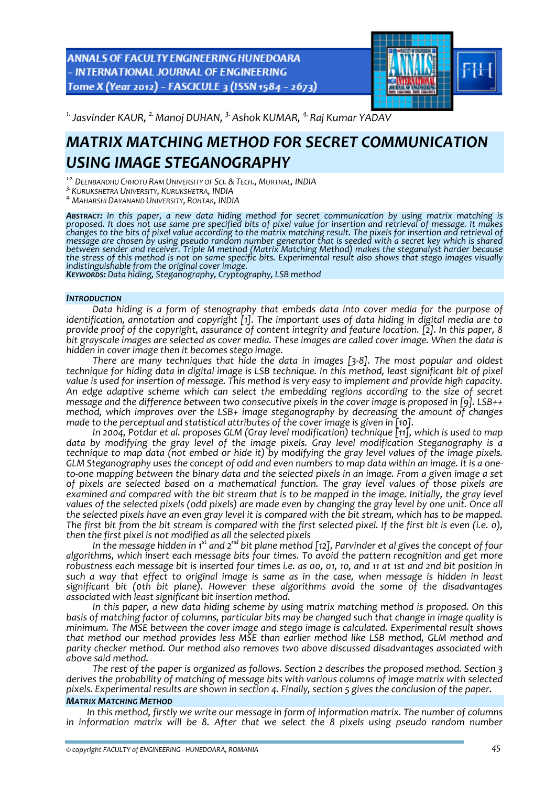ANNALS OF FACULTY ENGINEERING HUNEDOARA - INTERNATIONAL JOURNAL OF ENGINEERING Tome X (Year 2012) - FASCICULE 3 (ISSN 1584 - 2673)



<sup>1.</sup> Jasvinder KAUR, <sup>2.</sup> Manoj DUHAN, <sup>3.</sup> Ashok KUMAR, <sup>4.</sup> Raj Kumar YADAV

# *MATRIX MATCHING METHOD FOR SECRET COMMUNICATION USING IMAGE STEGANOGRAPHY*

*<sup>1</sup>‐2.DEENBANDHU CHHOTU RAM UNIVERSITY OF SCI. &TECH., MURTHAL, INDIA*

*3.KURUKSHETRA UNIVERSITY, KURUKSHETRA, INDIA 4.MAHARSHI DAYANAND UNIVERSITY, ROHTAK, INDIA*

*ABSTRACT: In this paper, a new data hiding method for secret communication by using matrix matching is* proposed. It does not use same pre specified bits of pixel value for insertion and retrieval of message. It makes changes to the bits of pixel value according to the matrix matching result. The pixels for insertion and retrieval of message are chosen by using pseudo random number generator that is seeded with a secret key which is shared *between sender and receiver. Triple M method (Matrix Matching Method) makes the steganalyst harder because* the stress of this method is not on same specific bits. Experimental result also shows that stego images visually<br>indistinguishable from the original cover image.<br>Keywor, B. S. Bata hiding, Steganography, Cryptography, LSB

## *INTRODUCTION*

*Data hiding is a form of stenography that embeds data into cover media for the purpose of identification, annotation and copyright [1]. The important uses of data hiding in digital media are to* provide proof of the copyright, assurance of content integrity and feature location. [2]. In this paper, 8 bit grayscale images are selected as cover media. These images are called cover image. When the data is *hidden in cover image then it becomes stego image.*

*There are many techniques that hide the data in images [3‐8]. The most popular and oldest* technique for hiding data in digital image is LSB technique. In this method, least significant bit of pixel value is used for insertion of message. This method is very easy to implement and provide high capacity. *An edge adaptive scheme which can select the embedding regions according to the size of secret message and the difference between two consecutive pixels in the cover image is proposed in [9]. LSB++ method, which improves over the LSB+ image steganography by decreasing the amount of changes made to the perceptual and statistical attributes of the cover image is given in [10].*

*In 2004, Potdar et al. proposes GLM (Gray level modification) technique [11], which is used to map data by modifying the gray level of the image pixels. Gray level modification Steganography is a* technique to map data (not embed or hide it) by modifying the gray level values of the image pixels. GLM Steganography uses the concept of odd and even numbers to map data within an image. It is a oneto-one mapping between the binary data and the selected pixels in an image. From a given image a set *of pixels are selected based on a mathematical function. The gray level values of those pixels are* examined and compared with the bit stream that is to be mapped in the image. Initially, the gray level values of the selected pixels (odd pixels) are made even by changing the gray level by one unit. Once all the selected pixels have an even gray level it is compared with the bit stream, which has to be mapped. The first bit from the bit stream is compared with the first selected pixel. If the first bit is even (i.e. o), *then the first pixel is not modified as all the selected pixels*

In the message hidden in 1st and 2 $^{\sf{nd}}$  bit plane method [12], Parvinder et al gives the concept of four *algorithms, which insert each message bits four times. To avoid the pattern recognition and get more* robustness each message bit is inserted four times i.e. as 00, 01, 10, and 11 at 1st and 2nd bit position in such a way that effect to original image is same as in the case, when message is hidden in least *significant bit (0th bit plane). However these algorithms avoid the some of the disadvantages associated with least significant bit insertion method.*

*In this paper, a new data hiding scheme by using matrix matching method is proposed. On this* basis of matching factor of columns, particular bits may be changed such that change in image quality is *minimum. The MSE between the cover image and stego image is calculated. Experimental result shows that method our method provides less MSE than earlier method like LSB method, GLM method and parity checker method. Our method also removes two above discussed disadvantages associated with above said method.*

*The rest of the paper is organized as follows. Section 2 describes the proposed method. Section 3 derives the probability of matching of message bits with various columns of image matrix with selected* pixels. Experimental results are shown in section 4. Finally, section 5 gives the conclusion of the paper.

# *MATRIX MATCHING METHOD*

*In this method, firstly we write our message in form of information matrix. The number of columns in information matrix will be 8. After that we select the 8 pixels using pseudo random number*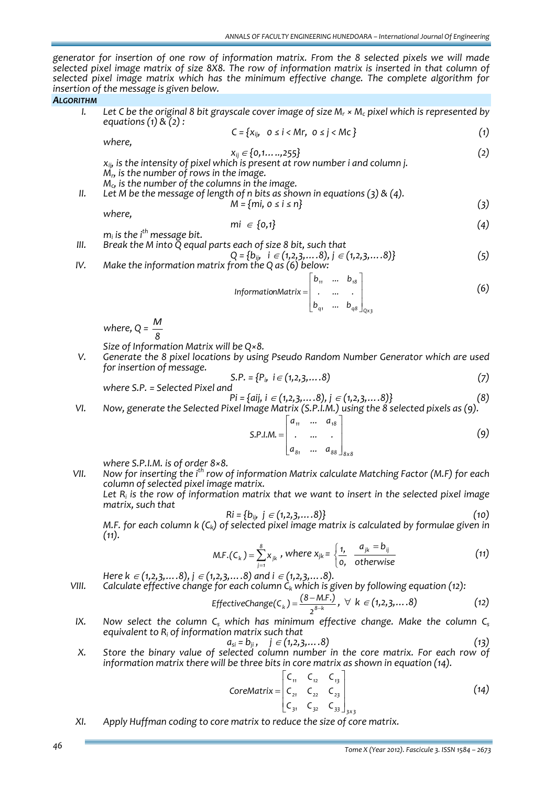*generator for insertion of one row of information matrix. From the 8 selected pixels we will made* selected pixel image matrix of size 8X8. The row of information matrix is inserted in that column of *selected pixel image matrix which has the minimum effective change. The complete algorithm for insertion of the message is given below.*

## *ALGORITHM*

I. Let C be the original 8 bit grayscale cover image of size  $M_r \times M_c$  pixel which is represented by *equations (1) & (2) :*

$$
C = \{x_{ij}, \quad 0 \le i < Mr, \quad 0 \le j < Mc \}
$$
\n
$$
\tag{1}
$$

*where,*

$$
x_{ij} \in \{0, 1, \ldots, 255\} \tag{2}
$$

*xij, is the intensity of pixel which is present at row number i and column j. Mr, is the number of rows in the image. Mc, is the number of the columns in the image.*

*II. Let M be the message of length of n bits as shown in equations (3) & (4).*  $M = \{mi, 0 \le i \le n\}$  (3)

*where,* 

$$
\mathsf{mi} \in \{0,1\} \tag{4}
$$

*mi is the i th message bit.*

\nIII. Break the M into Q equal parts each of size 8 bit, such that  
\n
$$
Q = \{b_{ij}, \quad i \in (1, 2, 3, \ldots, 8), j \in (1, 2, 3, \ldots, 8)\}
$$
\n

\n\nIV. Make the information matrix from the Q as (6) below:\n

InformationMatrix =

\n
$$
\begin{bmatrix}\n b_{11} & \dots & b_{18} \\
\vdots & \vdots & \ddots & \vdots \\
b_{q1} & \dots & b_{q8}\n \end{bmatrix}_{Qx_3}
$$
\n(6)

 *where, <sup>Q</sup> <sup>=</sup> <sup>8</sup> M*

*Size of Information Matrix will be Q×8.* 

*V. Generate the 8 pixel locations by using Pseudo Random Number Generator which are used for insertion of message.*

$$
S.P. = {Pi, i \in (1,2,3,...8)}
$$
  
where S.P. = Selected Pixel and (7)

$$
\mathsf{Pi} = \{\mathsf{aij}, \mathsf{i} \in (1,2,3,\ldots,8), \mathsf{j} \in (1,2,3,\ldots,8)\}
$$
\n
$$
\mathsf{Vl.} \qquad \text{Now, generate the Selected pixel Image Matrix (S.P.I.M.) using the 8 selected pixels as (9).}
$$

$$
S.P.I.M. = \begin{bmatrix} a_{11} & \dots & a_{18} \\ \vdots & \vdots & \vdots \\ a_{81} & \dots & a_{88} \end{bmatrix}_{8 \times 8}
$$
 (9)

*where S.P.I.M. is of order 8×8.*

*VII. Now for inserting the i th row of information Matrix calculate Matching Factor (M.F) for each column of selected pixel image matrix.*

*Let Ri is the row of information matrix that we want to insert in the selected pixel image matrix, such that*

$$
Ri = \{b_{ij}, j \in (1, 2, 3, \dots, 8)\}\
$$
 (10)

*M.F. for each column k (Ck) of selected pixel image matrix is calculated by formulae given in (11).*

$$
M.F.(C_k) = \sum_{j=1}^{8} x_{jk}, where x_{jk} = \begin{cases} \frac{1}{1}, & \frac{a_{jk} = b_{ij}}{0}, \\ 0, & \text{otherwise} \end{cases} \tag{11}
$$

*Here k* <sup>∈</sup> *(1,2,3,….8), j* <sup>∈</sup> *(1,2,3,….8) and i* <sup>∈</sup> *(1,2,3,….8). VIII. Calculate effective change for each column*  $\hat{C}_k$  *which is given by following equation* (12):

$$
\text{EffectiveChange}(C_k) = \frac{(8 - M.F.)}{2^{8-k}}, \ \forall \ k \in (1, 2, 3, \dots, 8) \tag{12}
$$

*IX.* Now select the column C<sub>s</sub> which has minimum effective change. Make the column C<sub>s</sub> *equivalent to Ri of information matrix such that*

$$
a_{si} = b_{ji}, \quad j \in (1, 2, 3, \dots, 8)
$$
 (13)

*X. Store the binary value of selected column number in the core matrix. For each row of information matrix there will be three bits in core matrix as shown in equation (14).*

$$
CoreMatrix = \begin{bmatrix} C_{11} & C_{12} & C_{13} \\ C_{21} & C_{22} & C_{23} \\ C_{31} & C_{32} & C_{33} \end{bmatrix}_{3 \times 3}
$$
 (14)

*XI. Apply Huffman coding to core matrix to reduce the size of core matrix.*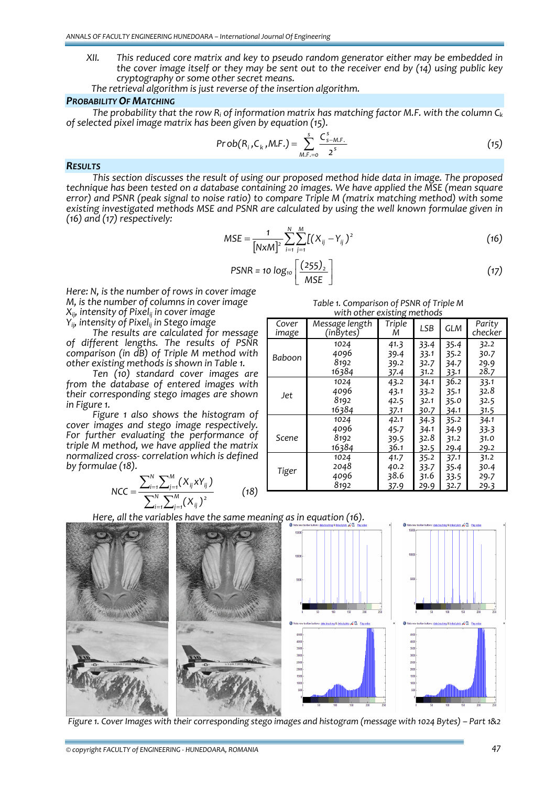- *XII. This reduced core matrix and key to pseudo random generator either may be embedded in the cover image itself or they may be sent out to the receiver end by (14) using public key*
	- The retrieval algorithm is just reverse of the insertion algorithm.

#### *PROBABILITY OF MATCHING*

*The probability that the row Ri of information matrix has matching factor M.F. with the column Ck of selected pixel image matrix has been given by equation (15).*

$$
Prob(R_i, C_k, M.F.) = \sum_{M.F.=0}^{s} \frac{C_{s-M.F.}^s}{2^s}
$$
 (15)

#### *RESULTS*

*This section discusses the result of using our proposed method hide data in image. The proposed technique has been tested on a database containing 20 images. We have applied the MSE (mean square error) and PSNR (peak signal to noise ratio) to compare Triple M (matrix matching method) with some existing investigated methods MSE and PSNR are calculated by using the well known formulae given in (16) and (17) respectively:*

$$
MSE = \frac{1}{[N \times M]^2} \sum_{i=1}^{N} \sum_{j=1}^{M} [(X_{ij} - Y_{ij})^2
$$
 (16)

$$
PSNR = 10 \log_{10} \left[ \frac{(255)_2}{MSE} \right]
$$
 (17)

*Here: N, is the number of rows in cover image M, is the number of columns in cover image Xij, intensity of Pixelij in cover image Yij, intensity of Pixelij in Stego image*

*The results are calculated for message of different lengths. The results of PSNR comparison (in dB) of Triple M method with other existing methods is shown in Table 1.*

*Ten (10) standard cover images are from the database of entered images with their corresponding stego images are shown in Figure 1.* 

*Figure 1 also shows the histogram of cover images and stego image respectively. For further evaluating the performance of triple M method, we have applied the matrix normalized cross‐ correlation which is defined by formulae (18).*

$$
NCC = \frac{\sum_{i=1}^{N} \sum_{j=1}^{M} (X_{ij} X Y_{ij})}{\sum_{i=1}^{N} \sum_{j=1}^{M} (X_{ij})^2}
$$
(18)

*Table 1. Comparison of PSNR of Triple M with other existing methods*

| with other existing incendus |                             |             |            |            |                   |
|------------------------------|-----------------------------|-------------|------------|------------|-------------------|
| Cover<br>image               | Message length<br>(inBytes) | Triple<br>Μ | <b>LSB</b> | <b>GLM</b> | Parity<br>checker |
|                              |                             |             |            |            |                   |
| Baboon                       | 1024                        | 41.3        | 33.4       | 35.4       | 32.2              |
|                              | 4096                        | 39.4        | 33.1       | 35.2       | 30.7              |
|                              | 8192                        | 39.2        | 32.7       | 34.7       | 29.9              |
|                              | 16384                       | 37.4        | 31.2       | 33.1       | 28.7              |
|                              | 1024                        | 43.2        | 34.1       | 36.2       | 33.1              |
| Jet                          | 4096                        | 43.1        | 33.2       | 35.1       | 32.8              |
|                              | 8192                        | 42.5        | 32.1       | 35.0       | 32.5              |
|                              | 16384                       | 37.1        | 30.7       | 34.1       | 31.5              |
|                              | 1024                        | 42.1        | 34.3       | 35.2       | 34.1              |
| Scene                        | 4096                        | 45.7        | 34.1       | 34.9       | 33.3              |
|                              | 8192                        | 39.5        | 32.8       | 31.2       | 31.0              |
|                              | 16384                       | 36.1        | 32.5       | 29.4       | 29.2              |
|                              | 1024                        | 41.7        | 35.2       | 37.1       | 31.2              |
| Tiger                        | 2048                        | 40.2        | 33.7       | 35.4       | 30.4              |
|                              | 4096                        | 38.6        | 31.6       | 33.5       | 29.7              |
|                              | 8192                        | 37.9        | 29.9       | 32.7       | 29.3              |

*Here, all the variables have the same meaning as in equation (16).*



Figure 1. Cover Images with their corresponding stego images and histogram (message with 1024 Bytes) - Part 1&2